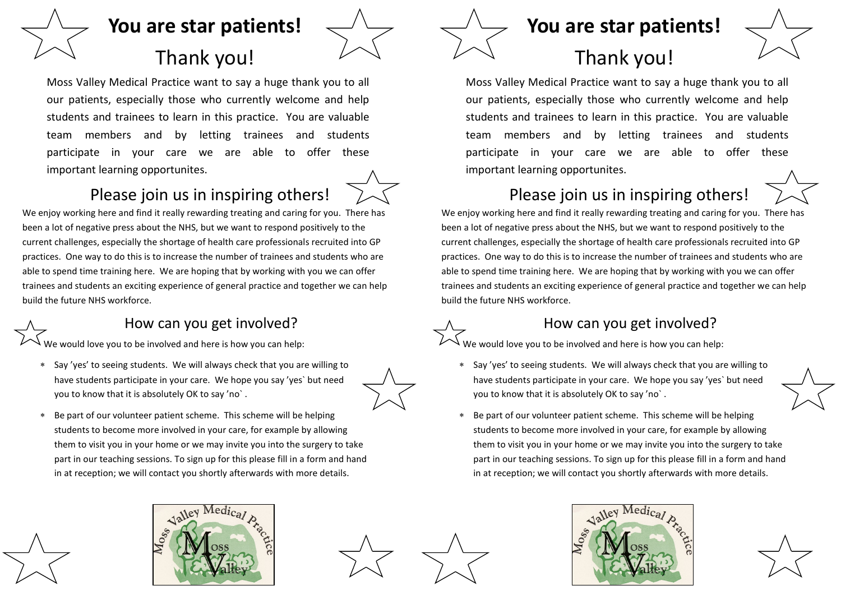

# **You are star patients!**

## Thank you!

Moss Valley Medical Practice want to say a huge thank you to all our patients, especially those who currently welcome and help students and trainees to learn in this practice. You are valuable team members and by letting trainees and students participate in your care we are able to offer these important learning opportunites.



## Please join us in inspiring others!

We enjoy working here and find it really rewarding treating and caring for you. There has been a lot of negative press about the NHS, but we want to respond positively to the current challenges, especially the shortage of health care professionals recruited into GP practices. One way to do this is to increase the number of trainees and students who are able to spend time training here. We are hoping that by working with you we can offer trainees and students an exciting experience of general practice and together we can help build the future NHS workforce.

#### How can you get involved?

Ve would love you to be involved and here is how you can help:

 Say 'yes' to seeing students. We will always check that you are willing to have students participate in your care. We hope you say 'yes` but need you to know that it is absolutely OK to say 'no` .



 Be part of our volunteer patient scheme. This scheme will be helping students to become more involved in your care, for example by allowing them to visit you in your home or we may invite you into the surgery to take part in our teaching sessions. To sign up for this please fill in a form and hand in at reception; we will contact you shortly afterwards with more details.

### **You are star patients!**

# Thank you!

Moss Valley Medical Practice want to say a huge thank you to all our patients, especially those who currently welcome and help students and trainees to learn in this practice. You are valuable team members and by letting trainees and students participate in your care we are able to offer these important learning opportunites.

### Please join us in inspiring others!

We enjoy working here and find it really rewarding treating and caring for you. There has been a lot of negative press about the NHS, but we want to respond positively to the current challenges, especially the shortage of health care professionals recruited into GP practices. One way to do this is to increase the number of trainees and students who are able to spend time training here. We are hoping that by working with you we can offer trainees and students an exciting experience of general practice and together we can help build the future NHS workforce.

#### How can you get involved?

We would love you to be involved and here is how you can help:

- Say 'yes' to seeing students. We will always check that you are willing to have students participate in your care. We hope you say 'yes` but need you to know that it is absolutely OK to say 'no` .
- Be part of our volunteer patient scheme. This scheme will be helping students to become more involved in your care, for example by allowing them to visit you in your home or we may invite you into the surgery to take part in our teaching sessions. To sign up for this please fill in a form and hand in at reception; we will contact you shortly afterwards with more details.